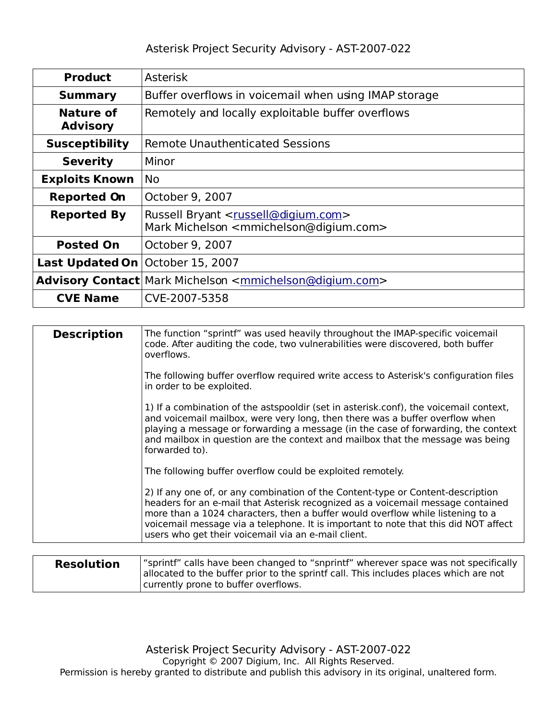| <b>Product</b>               | <b>Asterisk</b>                                                                                                             |  |
|------------------------------|-----------------------------------------------------------------------------------------------------------------------------|--|
| <b>Summary</b>               | Buffer overflows in voicemail when using IMAP storage                                                                       |  |
| Nature of<br><b>Advisory</b> | Remotely and locally exploitable buffer overflows                                                                           |  |
| <b>Susceptibility</b>        | <b>Remote Unauthenticated Sessions</b>                                                                                      |  |
| <b>Severity</b>              | Minor                                                                                                                       |  |
| <b>Exploits Known</b>        | <b>No</b>                                                                                                                   |  |
| <b>Reported On</b>           | October 9, 2007                                                                                                             |  |
| <b>Reported By</b>           | Russell Bryant <russell@digium.com><br/>Mark Michelson <mmichelson@digium.com></mmichelson@digium.com></russell@digium.com> |  |
| <b>Posted On</b>             | October 9, 2007                                                                                                             |  |
| <b>Last Updated On</b>       | October 15, 2007                                                                                                            |  |
|                              | Advisory Contact Mark Michelson <mmichelson@digium.com></mmichelson@digium.com>                                             |  |
| <b>CVE Name</b>              | CVE-2007-5358                                                                                                               |  |

| <b>Description</b> | The function "sprintf" was used heavily throughout the IMAP-specific voicemail<br>code. After auditing the code, two vulnerabilities were discovered, both buffer<br>overflows.                                                                                                                                                                                                                    |
|--------------------|----------------------------------------------------------------------------------------------------------------------------------------------------------------------------------------------------------------------------------------------------------------------------------------------------------------------------------------------------------------------------------------------------|
|                    | The following buffer overflow required write access to Asterisk's configuration files<br>in order to be exploited.                                                                                                                                                                                                                                                                                 |
|                    | 1) If a combination of the astspooldir (set in asterisk.conf), the voicemail context,<br>and voicemail mailbox, were very long, then there was a buffer overflow when<br>playing a message or forwarding a message (in the case of forwarding, the context<br>and mailbox in question are the context and mailbox that the message was being<br>forwarded to).                                     |
|                    | The following buffer overflow could be exploited remotely.                                                                                                                                                                                                                                                                                                                                         |
|                    | 2) If any one of, or any combination of the Content-type or Content-description<br>headers for an e-mail that Asterisk recognized as a voicemail message contained<br>more than a 1024 characters, then a buffer would overflow while listening to a<br>voicemail message via a telephone. It is important to note that this did NOT affect<br>users who get their voicemail via an e-mail client. |

| <b>Resolution</b> | "sprintf" calls have been changed to "snprintf" wherever space was not specifically<br>allocated to the buffer prior to the sprintf call. This includes places which are not |
|-------------------|------------------------------------------------------------------------------------------------------------------------------------------------------------------------------|
|                   | currently prone to buffer overflows.                                                                                                                                         |

Asterisk Project Security Advisory - AST-2007-022 Copyright © 2007 Digium, Inc. All Rights Reserved. Permission is hereby granted to distribute and publish this advisory in its original, unaltered form.